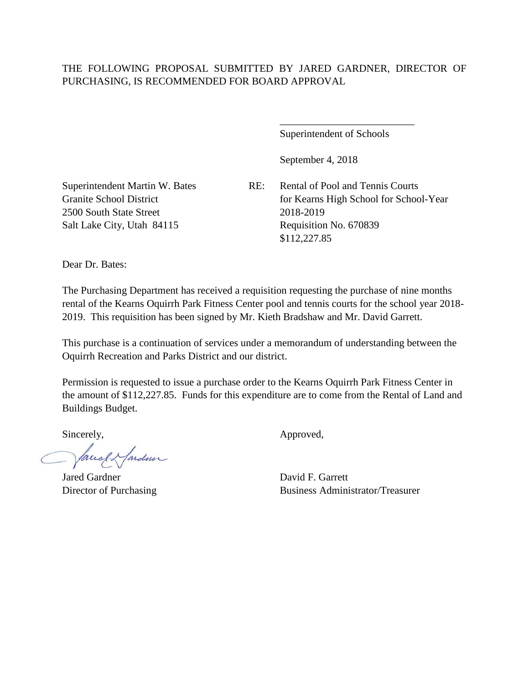## THE FOLLOWING PROPOSAL SUBMITTED BY JARED GARDNER, DIRECTOR OF PURCHASING, IS RECOMMENDED FOR BOARD APPROVAL

Superintendent of Schools

\_\_\_\_\_\_\_\_\_\_\_\_\_\_\_\_\_\_\_\_\_\_\_\_\_\_

September 4, 2018

2500 South State Street 2018-2019

Superintendent Martin W. Bates RE: Rental of Pool and Tennis Courts Granite School District for Kearns High School for School-Year Salt Lake City, Utah 84115 Requisition No. 670839 \$112,227.85

Dear Dr. Bates:

The Purchasing Department has received a requisition requesting the purchase of nine months rental of the Kearns Oquirrh Park Fitness Center pool and tennis courts for the school year 2018- 2019. This requisition has been signed by Mr. Kieth Bradshaw and Mr. David Garrett.

This purchase is a continuation of services under a memorandum of understanding between the Oquirrh Recreation and Parks District and our district.

Permission is requested to issue a purchase order to the Kearns Oquirrh Park Fitness Center in the amount of \$112,227.85. Funds for this expenditure are to come from the Rental of Land and Buildings Budget.

facely farden

Jared Gardner David F. Garrett

Sincerely,  $\qquad \qquad \text{Approved},$ 

Director of Purchasing Business Administrator/Treasurer